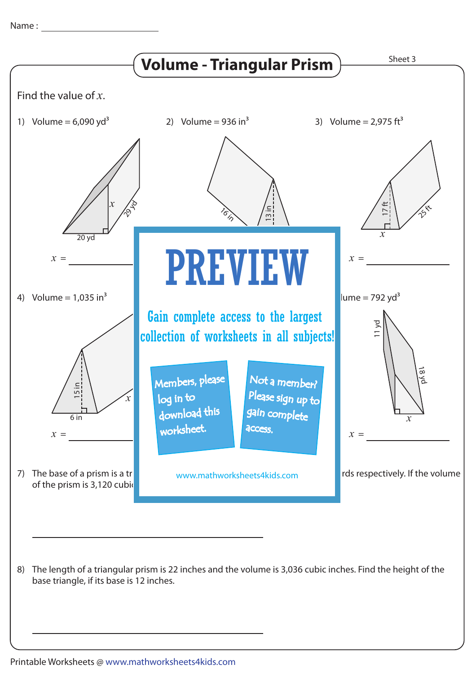